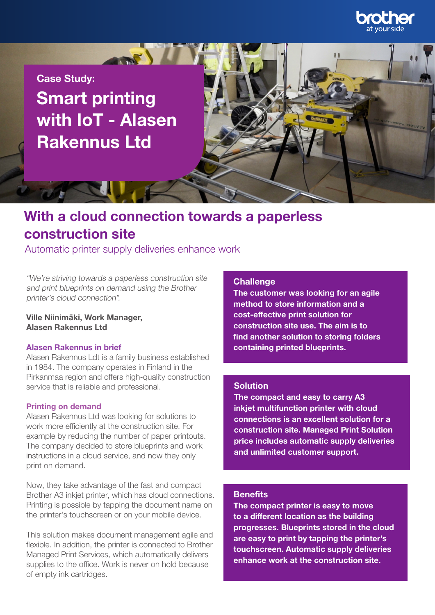

Case Study: Smart printing with IoT - Alasen Rakennus Ltd

**CONTROL** 

# With a cloud connection towards a paperless construction site

Automatic printer supply deliveries enhance work

"We're striving towards a paperless construction site and print blueprints on demand using the Brother printer's cloud connection".

#### Ville Niinimäki, Work Manager, Alasen Rakennus Ltd

#### Alasen Rakennus in brief

Alasen Rakennus Ldt is a family business established in 1984. The company operates in Finland in the Pirkanmaa region and offers high-quality construction service that is reliable and professional.

#### Printing on demand

Alasen Rakennus Ltd was looking for solutions to work more efficiently at the construction site. For example by reducing the number of paper printouts. The company decided to store blueprints and work instructions in a cloud service, and now they only print on demand.

Now, they take advantage of the fast and compact Brother A3 inkjet printer, which has cloud connections. Printing is possible by tapping the document name on the printer's touchscreen or on your mobile device.

This solution makes document management agile and flexible. In addition, the printer is connected to Brother Managed Print Services, which automatically delivers supplies to the office. Work is never on hold because of empty ink cartridges.

#### **Challenge**

The customer was looking for an agile method to store information and a cost-effective print solution for construction site use. The aim is to find another solution to storing folders containing printed blueprints.

#### Solution

The compact and easy to carry A3 inkjet multifunction printer with cloud connections is an excellent solution for a construction site. Managed Print Solution price includes automatic supply deliveries and unlimited customer support.

#### **Benefits**

The compact printer is easy to move to a different location as the building progresses. Blueprints stored in the cloud are easy to print by tapping the printer's touchscreen. Automatic supply deliveries enhance work at the construction site.